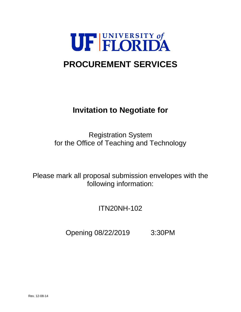

# **PROCUREMENT SERVICES**

## **Invitation to Negotiate for**

Registration System for the Office of Teaching and Technology

Please mark all proposal submission envelopes with the following information:

ITN20NH-102

Opening 08/22/2019 3:30PM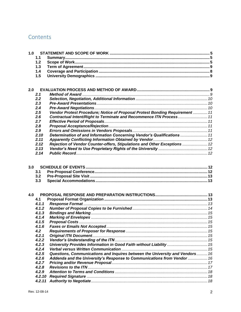## Contents

| 1.0 |        |                                                                              |  |
|-----|--------|------------------------------------------------------------------------------|--|
|     | 1.1    |                                                                              |  |
|     | 1.2    |                                                                              |  |
|     | 1.3    |                                                                              |  |
|     | 1.4    |                                                                              |  |
|     | 1.5    |                                                                              |  |
|     |        |                                                                              |  |
|     |        |                                                                              |  |
| 2.0 |        |                                                                              |  |
|     | 2.1    |                                                                              |  |
|     | 2.2    |                                                                              |  |
|     | 2.3    |                                                                              |  |
|     | 2.4    |                                                                              |  |
|     | 2.5    | Vendor Protest Procedure; Notice of Proposal Protest Bonding Requirement  11 |  |
|     | 2.6    | Contractual Intent/Right to Terminate and Recommence ITN Process 11          |  |
|     | 2.7    |                                                                              |  |
|     | 2.8    |                                                                              |  |
|     | 2.9    |                                                                              |  |
|     | 2.10   | Determination of and Information Concerning Vendor's Qualifications  11      |  |
|     | 2.11   |                                                                              |  |
|     | 2.12   | Rejection of Vendor Counter-offers, Stipulations and Other Exceptions  12    |  |
|     | 2.13   |                                                                              |  |
|     | 2.14   |                                                                              |  |
|     |        |                                                                              |  |
|     |        |                                                                              |  |
| 3.0 |        |                                                                              |  |
|     | 3.1    |                                                                              |  |
|     | 3.2    |                                                                              |  |
|     | 3.3    |                                                                              |  |
|     |        |                                                                              |  |
| 4.0 |        |                                                                              |  |
|     | 4.1    |                                                                              |  |
|     | 4.1.1  |                                                                              |  |
|     | 4.1.2  |                                                                              |  |
|     | 4.1.3  |                                                                              |  |
|     | 4.1.4  |                                                                              |  |
|     | 4.1.5  |                                                                              |  |
|     | 4.1.6  |                                                                              |  |
|     | 4.2    |                                                                              |  |
|     | 4.2.1  |                                                                              |  |
|     | 4.2.2  |                                                                              |  |
|     | 4.2.3  | University Provides Information in Good Faith without Liability  15          |  |
|     | 4.2.4  |                                                                              |  |
|     | 4.2.5  | Questions, Communications and Inquires between the University and Vendors 16 |  |
|     | 4.2.6  | Addenda and the University's Response to Communications from Vendor  16      |  |
|     | 4.2.7  |                                                                              |  |
|     | 4.2.8  |                                                                              |  |
|     | 4.2.9  |                                                                              |  |
|     | 4.2.10 |                                                                              |  |
|     | 4.2.11 |                                                                              |  |
|     |        |                                                                              |  |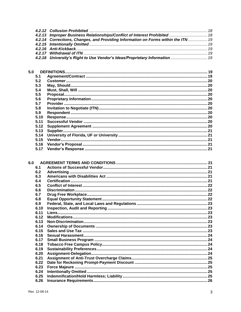| 4.2.13 Improper Business Relationships/Conflict of Interest Prohibited  18        |  |
|-----------------------------------------------------------------------------------|--|
| 4.2.14 Corrections, Changes, and Providing Information on Forms within the ITN 19 |  |
|                                                                                   |  |
|                                                                                   |  |
|                                                                                   |  |
| 4.2.18 University's Right to Use Vendor's Ideas/Proprietary Information  19       |  |

| 5.0  |  |
|------|--|
| 5.1  |  |
| 5.2  |  |
| 5.3  |  |
| 5.4  |  |
| 5.5  |  |
| 5.6  |  |
| 5.7  |  |
| 5.8  |  |
| 5.9  |  |
| 5.10 |  |
| 5.11 |  |
| 5.12 |  |
| 5.13 |  |
| 5.14 |  |
| 5.15 |  |
| 5.16 |  |
| 5.17 |  |
|      |  |

| 6.0 |      |  |
|-----|------|--|
|     | 6.1  |  |
|     | 6.2  |  |
|     | 6.3  |  |
|     | 6.4  |  |
|     | 6.5  |  |
|     | 6.6  |  |
|     | 6.7  |  |
|     | 6.8  |  |
|     | 6.9  |  |
|     | 6.10 |  |
|     | 6.11 |  |
|     | 6.12 |  |
|     | 6.13 |  |
|     | 6.14 |  |
|     | 6.15 |  |
|     | 6.16 |  |
|     | 6.17 |  |
|     | 6.18 |  |
|     | 6.19 |  |
|     | 6.20 |  |
|     | 6.21 |  |
|     | 6.22 |  |
|     | 6.23 |  |
|     | 6.24 |  |
|     | 6.25 |  |
|     | 6.26 |  |
|     |      |  |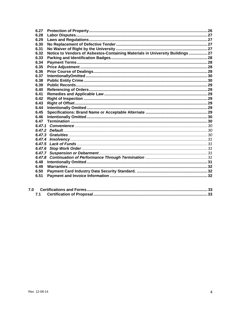| 6.27   |                                                                                |  |
|--------|--------------------------------------------------------------------------------|--|
| 6.28   |                                                                                |  |
| 6.29   |                                                                                |  |
| 6.30   |                                                                                |  |
| 6.31   |                                                                                |  |
| 6.32   | Notice to Vendors of Asbestos-Containing Materials in University Buildings  27 |  |
| 6.33   |                                                                                |  |
| 6.34   |                                                                                |  |
| 6.35   |                                                                                |  |
| 6.36   |                                                                                |  |
| 6.37   |                                                                                |  |
| 6.38   |                                                                                |  |
| 6.39   |                                                                                |  |
| 6.40   |                                                                                |  |
| 6.41   |                                                                                |  |
| 6.42   |                                                                                |  |
| 6.43   |                                                                                |  |
| 6.44   |                                                                                |  |
| 6.45   |                                                                                |  |
| 6.46   |                                                                                |  |
| 6.47   |                                                                                |  |
|        |                                                                                |  |
|        |                                                                                |  |
|        |                                                                                |  |
| 6.47.4 |                                                                                |  |
| 6.47.5 |                                                                                |  |
|        |                                                                                |  |
|        |                                                                                |  |
| 6.47.8 |                                                                                |  |
| 6.48   |                                                                                |  |
| 6.49   |                                                                                |  |
| 6.50   |                                                                                |  |
| 6.51   |                                                                                |  |
|        |                                                                                |  |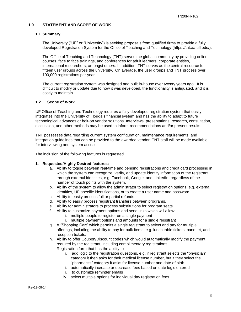#### <span id="page-4-0"></span>**1.0 STATEMENT AND SCOPE OF WORK**

#### <span id="page-4-1"></span>**1.1 Summary**

The University ("UF" or "University") is seeking proposals from qualified firms to provide a fully developed Registration System for the Office of Teaching and Technology (https://tnt.aa.ufl.edu/).

The Office of Teaching and Technology (TNT) serves the global community by providing online courses, face to face trainings, and conferences for adult learners, corporate entities, international researchers, amongst others. In addition, TNT serves as the central resource for fifteen user groups across the university. On average, the user groups and TNT process over 100,000 registrations per year.

The current registration system was designed and built in-house over twenty years ago. It is difficult to modify or update due to how it was developed, the functionality is antiquated, and it is costly to maintain.

#### <span id="page-4-2"></span>**1.2 Scope of Work**

UF Office of Teaching and Technology requires a fully developed registration system that easily integrates into the University of Florida's financial system and has the ability to adapt to future technological advances or bolt-on vendor solutions. Interviews, presentations, research, consultation, discussion, and other methods may be used to inform recommendations and/or present results.

TNT possesses data regarding current system configuration, maintenance requirements, and integration guidelines that can be provided to the awarded vendor. TNT staff will be made available for interviewing and system access.

The inclusion of the following features is requested

#### **1. Requested/Highly Desired features:**

- a. Ability to toggle between real-time and pending registrations and credit card processing in which the system can recognize, verify, and update identity information of the registrant through external identities, e.g. Facebook, Google, and LinkedIn, regardless of the number of touch points with the system.
- b. Ability of the system to allow the administrator to select registration options, e.g. external identities, UF specific identifications, or to create a user name and password
- c. Ability to easily process full or partial refunds.
- d. Ability to easily process registrant transfers between programs.
- e. Ability for administrators to process substitutions for program seats.
- f. Ability to customize payment options and send links which will allow:
	- i. multiple people to register on a single payment
	- ii. multiple payment options and amounts for a single registrant
- g. A "Shopping Cart" which permits a single registrant to select and pay for multiple offerings, including the ability to pay for bulk items, e.g. lunch table tickets, banquet, and reception tickets.
- h. Ability to offer Coupon/Discount codes which would automatically modify the payment required by the registrant, including complimentary registrations.
- i. Registration form that has the ability to:
	- i. add logic to the registration questions, e.g. if registrant selects the "physician" category it then asks for their medical license number, but if they select the "pharmacist" category it asks for license number and date of birth
	- ii. automatically increase or decrease fees based on date logic entered
	- iii. to customize reminder emails
	- iv. select multiple options for individual day registration fees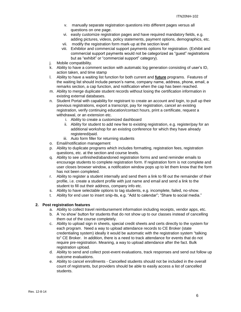- v. manually separate registration questions into different pages versus all questions on one page.
- vi. easily customize registration pages and have required mandatory fields, e.g. adding pictures, videos, policy statements, payment options, demographics, etc.
- vii. modify the registration form mark-up at the section level
- viii. Exhibitor and commercial support payments options for registration. (Exhibit and commercial support payments would not be categorized as "guest" registrations but as "exhibit" or "commercial support" category).
- j. Mobile compatibility.
- k. Ability to have a comment section with automatic log generation consisting of user's ID, action taken, and time stamp
- l. Ability to have a waiting list function for both current and **future** programs. Features of the waiting list should include person's name, company name, address, phone, email, a remarks section, a cap function, and notification when the cap has been reached.
- m. Ability to merge duplicate student records without losing the certification information in existing external databases.
- n. Student Portal with capability for registrant to create an account and login, to pull up their previous registrations, export a transcript, pay for registration, cancel an existing registration, verify continuing education/contact hours, print a certificate, request a withdrawal, or an extension etc.
	- i. Ability to create a customized dashboard
	- ii. Ability for student to add new fee to existing registration, e.g. register/pay for an additional workshop for an existing conference for which they have already registered/paid.
	- iii. Auto form filler for returning students
- o. Email/notification management
- p. Ability to duplicate programs which includes formatting, registration fees, registration questions, etc. at the section and course levels.
- q. Ability to see unfinished/abandoned registration forms and send reminder emails to encourage students to complete registration form. If registration form is not complete and user closes browser window, a notification window pops up to let them know that the form has not been completed.
- r. Ability to register a student internally and send them a link to fill out the remainder of their profile, i.e. create a student profile with just name and email and send a link to the student to fill out their address, company info etc.
- s. Ability to have selectable options to tag students, e.g. incomplete, failed, no-show.
- t. Ability for end user to insert snip-its, e.g. "Add to calendar"; "Share to social media."

#### **2. Post registration features**

- a. Ability to collect travel reimbursement information including receipts, vendor apps, etc.
- b. A 'no show' button for students that do not show up to our classes instead of cancelling them out of the course completely.
- c. Ability to upload sign in sheets, special credit sheets and certs directly to the system for each program. Need a way to upload attendance records to CE Broker (state credentialing system) ideally it would be automatic with the registration system "talking to" CE Broker. In addition, there is a need to track attendance for events that do not require pre-registration. Meaning, a way to upload attendance after the fact. Bulk registration upload.
- d. Ability to send and collect post-event evaluations, track responses and send out follow up outcome evaluations.
- e. Ability to cancel enrollments Cancelled students should not be included in the overall count of registrants, but providers should be able to easily access a list of cancelled students.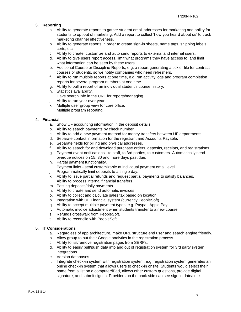## **3. Reporting**

- a. Ability to generate reports to gather student email addresses for marketing and ability for students to opt out of marketing. Add a report to collect 'how you heard about us' to track marketing channel effectiveness.
- b. Ability to generate reports in order to create sign-in sheets, name tags, shipping labels, certs, etc.
- c. Ability to create, customize and auto send reports to external and internal users.
- d. Ability to give users report access, limit what programs they have access to, and limit what information can be seen by these users.
- e. Additional Course or Discipline Reports, e.g. a report generating a tickler file for contract courses or students, so we notify companies who need refreshers.
- f. Ability to run multiple reports at one time, e.g. run activity logs and program completion reports for several program numbers at one time.
- g. Ability to pull a report of an individual student's course history.
- h. Statistics availability.
- i. Have search info in the URL for reports/managing.
- j. Ability to run year over year
- k. Multiple user group view for core office.
- l. Multiple program reporting.

#### **4. Financial**

- a. Show UF accounting information in the deposit details.
- b. Ability to search payments by check number.
- c. Ability to add a new payment method for money transfers between UF departments.
- d. Separate contact information for the registrant and Accounts Payable.
- e. Separate fields for billing and physical addresses.
- f. Ability to search for and download purchase orders, deposits, receipts, and registrations.
- g. Payment event notifications to staff, to 3rd parties, to customers. Automatically send overdue notices on 15, 30 and more days past due.
- h. Partial payment functionality.
- i. Payment links semi customizable at individual payment email level.
- j. Programmatically limit deposits to a single day.
- k. Ability to issue partial refunds and request partial payments to satisfy balances.
- l. Ability to process internal financial transfers.
- m. Posting deposits/daily payments.
- n. Ability to create and send automatic invoices
- o. Ability to collect and calculate sales tax based on location.
- p. Integration with UF Financial system (currently PeopleSoft).
- q. Ability to accept multiple payment types, e.g. Paypal, Apple Pay.
- r. Automatic invoice adjustment when students transfer to a new course.
- s. Refunds crosswalk from PeopleSoft.
- t. Ability to reconcile with PeopleSoft.

## **5. IT Considerations**

- a. Regardless of app architecture, make URL structure end user and search engine friendly.
- b. Allow group to put their Google analytics in the registration process.
- c. Ability to list/remove registration pages from SERPs.
- d. Ability to easily pull/push data into and out of registration system for 3rd party system integrations.
- e. Version databases
- f. Integrate check-in system with registration system, e.g. registration system generates an online check-in system that allows users to check-in onsite. Students would select their name from a list on a computer/iPad, allows other custom questions, provide digital signature, and submit sign in. Providers on the back side can see sign in date/time.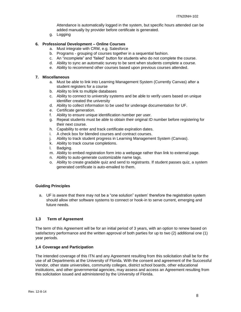Attendance is automatically logged in the system, but specific hours attended can be added manually by provider before certificate is generated.

g. Logging

## **6. Professional Development – Online Courses**

- a. Must integrate with CRM, e.g. Salesforce
- b. Programs grouping of courses together in a sequential fashion.
- c. An "incomplete" and "failed" button for students who do not complete the course.
- d. Ability to sync an automatic survey to be sent when students complete a course.
- e. Ability to recommend other courses based upon previous courses attended.

#### **7. Miscellaneous**

- a. Must be able to link into Learning Management System (Currently Canvas) after a student registers for a course
- b. Ability to link to multiple databases
- c. Ability to connect to university systems and be able to verify users based on unique identifier created the university
- d. Ability to collect information to be used for underage documentation for UF.
- e. Certificate generation.
- f. Ability to ensure unique identification number per user.
- g. Repeat students must be able to obtain their original ID number before registering for their next course.
- h. Capability to enter and track certificate expiration dates.
- i. A check box for blended courses and contract courses.
- j. Ability to track student progress in Learning Management System (Canvas).
- k. Ability to track course completions.
- l. Badging.
- m. Ability to embed registration form into a webpage rather than link to external page.
- n. Ability to auto-generate customizable name tags.
- o. Ability to create gradable quiz and send to registrants. If student passes quiz, a system generated certificate is auto-emailed to them.

#### **Guiding Principles**

a. UF is aware that there may not be a "one solution" system' therefore the registration system should allow other software systems to connect or hook-in to serve current, emerging and future needs.

## <span id="page-7-0"></span>**1.3 Term of Agreement**

The term of this Agreement will be for an initial period of 3 years, with an option to renew based on satisfactory performance and the written approval of both parties for up to two (2) additional one (1) year periods.

#### <span id="page-7-1"></span>**1.4 Coverage and Participation**

The intended coverage of this ITN and any Agreement resulting from this solicitation shall be for the use of all Departments at the University of Florida. With the consent and agreement of the Successful Vendor, other state universities, community colleges, district school boards, other educational institutions, and other governmental agencies, may assess and access an Agreement resulting from this solicitation issued and administered by the University of Florida.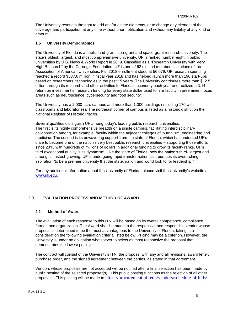The University reserves the right to add and/or delete elements, or to change any element of the coverage and participation at any time without prior notification and without any liability of any kind or amount.

## <span id="page-8-0"></span>**1.5 University Demographics**

The University of Florida is a public land-grant, sea-grant and space-grant research university. The state's oldest, largest, and most comprehensive university, UF is ranked number eight in public universities by U.S. News & World Report in 2019. Classified as a "Research University with Very High Research" by the Carnegie Foundation, UF is one of 62 elected member institutions of the Association of American Universities. Fall 2018 enrollment stood at 56,079. UF research spending reached a record \$837.6 million in fiscal year 2018 and has helped launch more than 190 start-ups based on researchers' technologies in the past 15 years. The University contributes more than \$12.5 billion through its research and other activities to Florida's economy each year and realized a 3.14 return on investment in research funding for every state dollar used to hire faculty in preeminent focus areas such as neuroscience, cybersecurity and food security.

The University has a 2,000-acre campus and more than 1,000 buildings (including 170 with classrooms and laboratories). The northeast corner of campus is listed as a historic district on the National Register of Historic Places.

Several qualities distinguish UF among today's leading public research universities. The first is its highly comprehensive breadth on a single campus, facilitating interdisciplinary collaboration among, for example, faculty within the adjacent colleges of journalism, engineering and medicine. The second is its unwavering support from the state of Florida, which has endorsed UF's drive to become one of the nation's very best public research universities – supporting those efforts since 2013 with hundreds of millions of dollars in additional funding to grow its faculty ranks. UF's third exceptional quality is its dynamism. Like the state of Florida, now the nation's third- largest and among its fastest-growing, UF is undergoing rapid transformation as it pursues its overarching aspiration "to be a premier university that the state, nation and world look to for leadership."

For any additional information about the University of Florida, please visit the University's website at [www.ufl.edu.](http://www.ufl.edu/)

## <span id="page-8-1"></span>**2.0 EVALUATION PROCESS AND METHOD OF AWARD**

## <span id="page-8-2"></span>**2.1 Method of Award**

The evaluation of each response to this ITN will be based on its overall competence, compliance, format, and organization. The Award shall be made to the responsive and responsible vendor whose proposal is determined to be the most advantageous to the University of Florida, taking into consideration the following evaluation criteria listed below. Pricing may be a criterion. However, the University is under no obligation whatsoever to select as most responsive the proposal that demonstrates the lowest pricing.

The contract will consist of the University's ITN, the proposal with any and all revisions, award letter, purchase order, and the signed agreement between the parties, as stated in that agreement.

Vendors whose proposals are not accepted will be notified after a final selection has been made by public posting of the selected proposer(s). This public posting functions as the rejection of all other proposals. This posting will be made to <https://procurement.ufl.edu/vendors/schedule-of-bids/>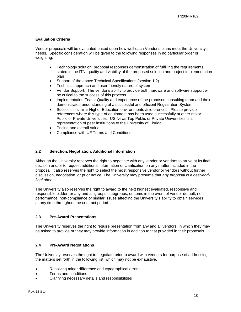## **Evaluation Criteria**

Vendor proposals will be evaluated based upon how well each Vendor's plans meet the University's needs. Specific consideration will be given to the following responses in no particular order or weighting:

- Technology solution: proposal responses demonstration of fulfilling the requirements stated in the ITN: quality and viability of the proposed solution and project implementation plan
- Support of the above Technical Specifications (section 1.2)
- Technical approach and user friendly nature of system
- Vendor Support: The vendor's ability to provide both hardware and software support will be critical to the success of this process
- Implementation Team: Quality and experience of the proposed consulting team and their demonstrated understanding of a successful and efficient Registration System
- Success in similar Higher Education environments & references: Please provide references where this type of equipment has been used successfully at other major Public or Private Universities. US News Top Public or Private Universities is a representation of peer institutions to the University of Florida.
- Pricing and overall value.
- Compliance with UF Terms and Conditions

## <span id="page-9-0"></span>**2.2 Selection, Negotiation, Additional Information**

Although the University reserves the right to negotiate with any vendor or vendors to arrive at its final decision and/or to request additional information or clarification on any matter included in the proposal, it also reserves the right to select the most responsive vendor or vendors without further discussion, negotiation, or prior notice. The University may presume that *any proposal is a best-andfinal offer.*

The University also reserves the right to award to the next highest evaluated, responsive and responsible bidder for any and all groups, subgroups, or items in the event of vendor default, nonperformance, non-compliance or similar issues affecting the University's ability to obtain services at any time throughout the contract period.

#### <span id="page-9-1"></span>**2.3 Pre-Award Presentations**

The University reserves the right to require presentation from any and all vendors, in which they may be asked to provide or they may provide information in addition to that provided in their proposals.

## <span id="page-9-2"></span>**2.4 Pre-Award Negotiations**

The University reserves the right to negotiate prior to award with vendors for purpose of addressing the matters set forth in the following list, which may not be exhaustive.

- Resolving minor difference and typographical errors
- Terms and conditions
- Clarifying necessary details and responsibilities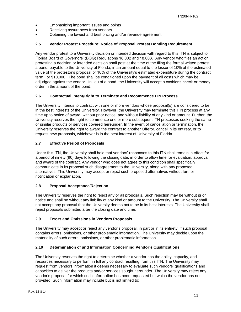- Emphasizing important issues and points
- Receiving assurances from vendors
- Obtaining the lowest and best pricing and/or revenue agreement

## <span id="page-10-0"></span>**2.5 Vendor Protest Procedure; Notice of Proposal Protest Bonding Requirement**

Any vendor protest to a University decision or intended decision with regard to this ITN is subject to Florida Board of Governors' (BOG) Regulations 18.002 and 18.003. Any vendor who files an action protesting a decision or intended decision shall post at the time of the filing the formal written protest, a bond, payable to the University of Florida, in an amount equal to the lessor of 10% of the estimated value of the protestor's proposal or 10% of the University's estimated expenditure during the contract term:, or \$10,000. The bond shall be conditioned upon the payment of all costs which may be adjudged against the vendor. In lieu of a bond, the University will accept a cashier's check or money order in the amount of the bond.

## <span id="page-10-1"></span>**2.6 Contractual Intent/Right to Terminate and Recommence ITN Process**

The University intends to contract with one or more vendors whose proposal(s) are considered to be in the best interests of the University. However, the University may terminate this ITN process at any time up to notice of award, without prior notice, and without liability of any kind or amount. Further, the University reserves the right to commence one or more subsequent ITN processes seeking the same or similar products or services covered hereunder. In the event of cancellation or termination, the University reserves the right to award the contract to another Offeror, cancel in its entirety, or to request new proposals, whichever is in the best interest of University of Florida.

## <span id="page-10-2"></span>**2.7 Effective Period of Proposals**

Under this ITN, the University shall hold that vendors' responses to this ITN shall remain in effect for a period of ninety (90) days following the closing date, in order to allow time for evaluation, approval, and award of the contract. Any vendor who does not agree to this condition shall specifically communicate in its proposal such disagreement to the University, along with any proposed alternatives. This University may accept or reject such proposed alternatives without further notification or explanation.

## <span id="page-10-3"></span>**2.8 Proposal Acceptance/Rejection**

The University reserves the right to reject any or all proposals. Such rejection may be without prior notice and shall be without any liability of any kind or amount to the University. The University shall not accept any proposal that the University deems not to be in its best interests. The University shall reject proposals submitted after the closing date and time.

## <span id="page-10-4"></span>**2.9 Errors and Omissions in Vendors Proposals**

The University may accept or reject any vendor's proposal, in part or in its entirety, if such proposal contains errors, omissions, or other problematic information. The University may decide upon the materiality of such errors, omissions, or other problematic information.

#### <span id="page-10-5"></span>**2.10 Determination of and Information Concerning Vendor's Qualifications**

The University reserves the right to determine whether a vendor has the ability, capacity, and resources necessary to perform in full any contract resulting from this ITN. The University may request from vendors information it deems necessary to evaluate such vendors' qualifications and capacities to deliver the products and/or services sought hereunder. The University may reject any vendor's proposal for which such information has been requested but which the vendor has not provided. Such information may include but is not limited to: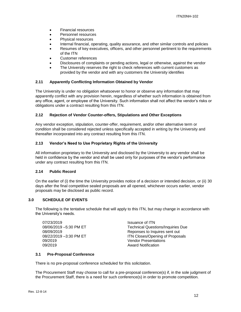- Financial resources
- Personnel resources
- Physical resources
- Internal financial, operating, quality assurance, and other similar controls and policies
- Resumes of key executives, officers, and other personnel pertinent to the requirements of the ITN
- Customer references
- Disclosures of complaints or pending actions, legal or otherwise, against the vendor
- The University reserves the right to check references with current customers as provided by the vendor and with any customers the University identifies

## <span id="page-11-0"></span>**2.11 Apparently Conflicting Information Obtained by Vendor**

The University is under no obligation whatsoever to honor or observe any information that may apparently conflict with any provision herein, regardless of whether such information is obtained from any office, agent, or employee of the University. Such information shall not affect the vendor's risks or obligations under a contract resulting from this ITN.

## <span id="page-11-1"></span>**2.12 Rejection of Vendor Counter-offers, Stipulations and Other Exceptions**

Any vendor exception, stipulation, counter-offer, requirement, and/or other alternative term or condition shall be considered rejected unless specifically accepted in writing by the University and thereafter incorporated into any contract resulting from this ITN.

## <span id="page-11-2"></span>**2.13 Vendor's Need to Use Proprietary Rights of the University**

All information proprietary to the University and disclosed by the University to any vendor shall be held in confidence by the vendor and shall be used only for purposes of the vendor's performance under any contract resulting from this ITN.

#### <span id="page-11-3"></span>**2.14 Public Record**

On the earlier of (i) the time the University provides notice of a decision or intended decision, or (ii) 30 days after the final competitive sealed proposals are all opened, whichever occurs earlier, vendor proposals may be disclosed as public record.

#### <span id="page-11-4"></span>**3.0 SCHEDULE OF EVENTS**

The following is the tentative schedule that will apply to this ITN, but may change in accordance with the University's needs.

07/23/2019 Issuance of ITN 09/2019 Vendor Presentations 09/2019 Award Notification

08/06/2019 –5:30 PM ET Technical Questions/Inquiries Due 08/09/2019 Reponses to Inquires sent out 08/22/2019 -3:30 PM ET **ITN Closes/Opening of Proposals** 

#### <span id="page-11-5"></span>**3.1 Pre-Proposal Conference**

There is no pre-proposal conference scheduled for this solicitation.

The Procurement Staff may choose to call for a pre-proposal conference(s) if, in the sole judgment of the Procurement Staff, there is a need for such conference(s) in order to promote competition.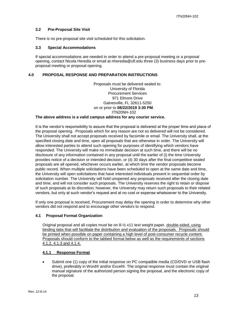#### <span id="page-12-0"></span>**3.2 Pre-Proposal Site Visit**

There is no pre-proposal site visit scheduled for this solicitation.

## <span id="page-12-1"></span>**3.3 Special Accommodations**

If special accommodations are needed in order to attend a pre-proposal meeting or a proposal opening, contact Nicola Heredia or email at nheredia@ufl.edu three (3) business days prior to preproposal meeting or proposal opening.

#### <span id="page-12-2"></span>**4.0 PROPOSAL RESPONSE AND PREPARATION INSTRUCTIONS**

Proposals must be delivered sealed to: University of Florida Procurement Services 971 Elmore Drive Gainesville, FL 32611-5250 on or prior to **08/22/2019 3:30 PM**. ITN20NH-102

#### **The above address is a valid campus address for any courier service.**

It is the vendor's responsibility to assure that the proposal is delivered at the proper time and place of the proposal opening. Proposals which for any reason are not so delivered will not be considered. The University shall not accept proposals received by facsimile or email. The University shall, at the specified closing date and time, open all proposals that are otherwise in order. The University will allow interested parties to attend such opening for purposes of identifying which vendors have responded. The University will make no immediate decision at such time, and there will be no disclosure of any information contained in any proposal until the earlier of (i) the time University provides notice of a decision or intended decision, or (ii) 30 days after the final competitive sealed proposals are all opened, whichever occurs earlier, at which time the vendor proposals become public record. When multiple solicitations have been scheduled to open at the same date and time, the University will open solicitations that have interested individuals present in sequential order by solicitation number. The University will hold unopened any proposals received after the closing date and time, and will not consider such proposals. The University reserves the right to retain or dispose of such proposals at its discretion; however, the University may return such proposals to their related vendors, but only at such vendor's request and at no cost or expense whatsoever to the University.

If only one proposal is received, Procurement may delay the opening in order to determine why other vendors did not respond and to encourage other vendors to respond.

#### <span id="page-12-3"></span>**4.1 Proposal Format Organization**

Original proposal and all copies must be on 8-½ x11 text weight paper, double-sided, using binding tabs that will facilitate the distribution and evaluation of the proposals. Proposals should be printed when possible on paper containing a high level of post-consumer recycle content. Proposals should conform to the tabbed format below as well as the requirements of sections 4.1.2, 4.1.3 and 4.1.4.

#### <span id="page-12-4"></span>**4.1.1 Response Format**

• Submit one (1) copy of the initial response on PC compatible media (CD/DVD or USB flash drive), preferably in Word® and/or Excel®. The original response must contain the original manual signature of the authorized person signing the proposal, and the electronic copy of the proposal.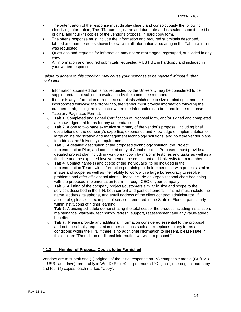- The outer carton of the response must display clearly and conspicuously the following identifying information, The ITN number, name and due date and is sealed; submit one (1) original and four (4) copies of the vendor's proposal in hard copy form.
- The offer's response must include the information and required submittals described, tabbed and numbered as shown below, with all information appearing in the Tab in which it was requested.
- Questions and requests for information may not be rearranged, regrouped, or divided in any way.
- All information and required submittals requested MUST BE in hardcopy and included in your written response.

## *Failure to adhere to this condition may cause your response to be rejected without further evaluation.*

- Information submitted that is not requested by the University may be considered to be supplemental, not subject to evaluation by the committee members.
- If there is any information or required submittals which due to size or binding cannot be incorporated following the proper tab, the vendor must provide information following the numbered tab, telling the evaluator where the information can be found in the response.
- Tabular / Paginated Format:
	- o **Tab 1**: Completed and signed Certification of Proposal form, and/or signed and completed acknowledgement forms for any addenda issued.
	- o **Tab 2**: A one to two page executive summary of the vendor's proposal, including brief descriptions of the company's expertise, experience and knowledge of implementation of large online registration and management technology solutions, and how the vendor plans to address the University's requirements.
	- o **Tab 3**: A detailed description of the proposed technology solution, the Project Implementation Plan, and completed copy of Attachment 1. Proposers must provide a detailed project plan including work breakdown by major milestones and tasks as well as a timeline and the expected involvement of the consultant and University team members.
	- o **Tab 4**: Contact name(s) and title(s) of the individual(s) to be included in the Implementation Team, with information pertaining to their experience with projects similar in size and scope, as well as their ability to work with a large bureaucracy to resolve problems and offer efficient solutions. Please include an Organizational chart beginning with the proposed implementation team through CEO of your company.
	- o **Tab 5**: A listing of the company projects/customers similar in size and scope to the services described in the ITN, both current and past customers. This list must include the name, address, telephone, and email address of the client contract administrator. If applicable, please list examples of services rendered in the State of Florida, particularly within institutions of higher learning.
	- o **Tab 6:** A pricing schedule demonstrating the total cost of the product including installation, maintenance, warranty, technology refresh, support, reassessment and any value-added benefits.
	- o **Tab 7:** Please provide any additional information considered essential to the proposal and not specifically requested in other sections such as exceptions to any terms and conditions within the ITN. If there is no additional information to present, please state in this section: "There is no additional information we wish to present."

## <span id="page-13-0"></span>**4.1.2 Number of Proposal Copies to be Furnished**

Vendors are to submit one (1) original, of the initial response on PC compatible media (CD/DVD or USB flash drive), preferably in Word®,Excel® or .pdf marked "Original", one original hardcopy and four (4) copies, each marked "Copy".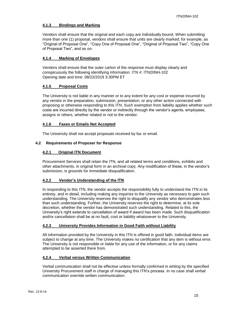## <span id="page-14-0"></span>**4.1.3 Bindings and Marking**

Vendors shall ensure that the original and each copy are individually bound. When submitting more than one (1) proposal, vendors shall ensure that units are clearly marked; for example, as "Original of Proposal One", "Copy One of Proposal One", "Original of Proposal Two", "Copy One of Proposal Two", and so on.

## <span id="page-14-1"></span>**4.1.4 Marking of Envelopes**

Vendors shall ensure that the outer carton of the response must display clearly and conspicuously the following identifying information: ITN #: ITN20NH-102 Opening date and time: 08/22/2019 3:30PM ET

## <span id="page-14-2"></span>**4.1.5 Proposal Costs**

The University is not liable in any manner or to any extent for any cost or expense incurred by any vendor in the preparation, submission, presentation, or any other action connected with proposing or otherwise responding to this ITN. Such exemption from liability applies whether such costs are incurred directly by the vendor or indirectly through the vendor's agents, employees, assigns or others, whether related or not to the vendor.

## <span id="page-14-3"></span>**4.1.6 Faxes or Emails Not Accepted**

The University shall not accept proposals received by fax or email.

## <span id="page-14-5"></span><span id="page-14-4"></span>**4.2 Requirements of Proposer for Response**

## **4.2.1 Original ITN Document**

Procurement Services shall retain the ITN, and all related terms and conditions, exhibits and other attachments, in original form in an archival copy. Any modification of these, in the vendor's submission, is grounds for immediate disqualification.

## <span id="page-14-6"></span>**4.2.2 Vendor's Understanding of the ITN**

In responding to this ITN, the vendor accepts the responsibility fully to understand the ITN in its entirety, and in detail, including making any inquiries to the University as necessary to gain such understanding. The University reserves the right to disqualify any vendor who demonstrates less than such understanding. Further, the University reserves the right to determine, at its sole discretion, whether the vendor has demonstrated such understanding. Related to this, the University's right extends to cancellation of award if award has been made. Such disqualification and/or cancellation shall be at no fault, cost or liability whatsoever to the University.

## <span id="page-14-7"></span>**4.2.3 University Provides Information in Good Faith without Liability**

All information provided by the University in this ITN is offered in good faith. Individual items are subject to change at any time. The University makes no certification that any item is without error. The University is not responsible or liable for any use of the information, or for any claims attempted to be asserted there from.

## <span id="page-14-8"></span>**4.2.4 Verbal versus Written Communication**

Verbal communication shall not be effective unless formally confirmed in writing by the specified University Procurement staff in charge of managing this ITN's process. In no case shall verbal communication override written communication.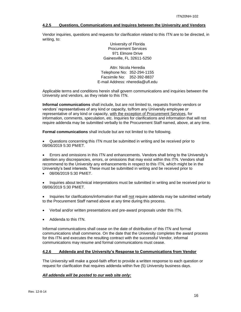#### <span id="page-15-0"></span>**4.2.5 Questions, Communications and Inquires between the University and Vendors**

Vendor inquiries, questions and requests for clarification related to this ITN are to be directed, in writing, to:

> University of Florida Procurement Services 971 Elmore Drive Gainesville, FL 32611-5250

Attn: Nicola Heredia Telephone No: 352-294-1155 Facsimile No: 352-392-8837 E-mail Address: nheredia@ufl.edu

Applicable terms and conditions herein shall govern communications and inquiries between the University and vendors, as they relate to this ITN.

**Informal communications** shall include, but are not limited to, requests from/to vendors or vendors' representatives of any kind or capacity, to/from any University employee or representative of any kind or capacity, with the exception of Procurement Services, for information, comments, speculation, etc. Inquiries for clarifications and information that will not require addenda may be submitted verbally to the Procurement Staff named, above, at any time.

**Formal communications** shall include but are not limited to the following.

• Questions concerning this ITN must be submitted in writing and be received prior to 08/06/2019 5:30 PM/ET.

• Errors and omissions in this ITN and enhancements. Vendors shall bring to the University's attention any discrepancies, errors, or omissions that may exist within this ITN. Vendors shall recommend to the University any enhancements in respect to this ITN, which might be in the University's best interests. These must be submitted in writing and be received prior to

• 08/06/2019 5:30 PM/ET.

• Inquiries about technical interpretations must be submitted in writing and be received prior to 08/06/2019 5:30 PM/ET.

• Inquiries for clarifications/information that will not require addenda may be submitted verbally to the Procurement Staff named above at any time during this process.

- Verbal and/or written presentations and pre-award proposals under this ITN.
- Addenda to this ITN.

Informal communications shall cease on the date of distribution of this ITN and formal communications shall commence. On the date that the University completes the award process for this ITN and executes the resulting contract with the successful Vendor, informal communications may resume and formal communications must cease.

#### <span id="page-15-1"></span>**4.2.6 Addenda and the University's Response to Communications from Vendor**

The University will make a good-faith effort to provide a written response to each question or request for clarification that requires addenda within five (5) University business days.

## *All addenda will be posted to our web site only:*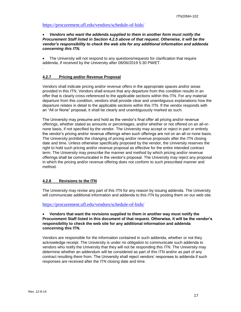## <https://procurement.ufl.edu/vendors/schedule-of-bids/>

#### • *Vendors who want the addenda supplied to them in another form must notify the Procurement Staff listed in Section 4.2.5 above of that request. Otherwise, it will be the vendor's responsibility to check the web site for any additional information and addenda concerning this ITN.*

• The University will not respond to any questions/requests for clarification that require addenda, if received by the University after 08/06/2019 5:30 PM/ET.

#### <span id="page-16-0"></span>**4.2.7 Pricing and/or Revenue Proposal**

.

Vendors shall indicate pricing and/or revenue offers in the appropriate spaces and/or areas provided in this ITN. Vendors shall ensure that any departure from this condition results in an offer that is clearly cross-referenced to the applicable sections within this ITN. For any material departure from this condition, vendors shall provide clear and unambiguous explanations how the departure relates in detail to the applicable sections within this ITN. If the vendor responds with an "All or None" proposal, it shall be clearly and unambiguously marked as such.

The University may presume and hold as the vendor's final offer all pricing and/or revenue offerings, whether stated as amounts or percentages, and/or whether or not offered on an all-ornone basis, if not specified by the vendor. The University may accept or reject in part or entirely the vendor's pricing and/or revenue offerings when such offerings are not on an all-or-none basis. The University prohibits the changing of pricing and/or revenue proposals after the ITN closing date and time. Unless otherwise specifically proposed by the vendor, the University reserves the right to hold such pricing and/or revenue proposal as effective for the entire intended contract term. The University may prescribe the manner and method by which pricing and/or revenue offerings shall be communicated in the vendor's proposal. The University may reject any proposal in which the pricing and/or revenue offering does not conform to such prescribed manner and method.

#### <span id="page-16-1"></span>**4.2.8 Revisions to the ITN**

The University may revise any part of this ITN for any reason by issuing addenda. The University will communicate additional information and addenda to this ITN by posting them on our web site.

<https://procurement.ufl.edu/vendors/schedule-of-bids/>

## • **Vendors that want the revisions supplied to them in another way must notify the Procurement Staff listed in this document of that request. Otherwise, it will be the vendor's responsibility to check the web site for any additional information and addenda concerning this ITN.**

Vendors are responsible for the information contained in such addenda, whether or not they acknowledge receipt. The University is under no obligation to communicate such addenda to vendors who notify the University that they will not be responding this ITN. The University may determine whether an addendum will be considered as part of this ITN and/or as part of any contract resulting there from. The University shall reject vendors' responses to addenda if such responses are received after the ITN closing date and time.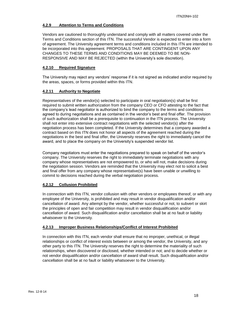## <span id="page-17-0"></span>**4.2.9 Attention to Terms and Conditions**

Vendors are cautioned to thoroughly understand and comply with all matters covered under the Terms and Conditions section of this ITN. The successful Vendor is expected to enter into a form of agreement. The University agreement terms and conditions included in this ITN are intended to be incorporated into this agreement. PROPOSALS THAT ARE CONTINGENT UPON ANY CHANGES TO THESE TERMS AND CONDITIONS MAY BE DEEMED TO BE NON-RESPONSIVE AND MAY BE REJECTED (within the University's sole discretion).

## <span id="page-17-1"></span>**4.2.10 Required Signature**

The University may reject any vendors' response if it is not signed as indicated and/or required by the areas, spaces, or forms provided within this ITN.

## <span id="page-17-2"></span>**4.2.11 Authority to Negotiate**

Representatives of the vendor(s) selected to participate in oral negotiation(s) shall be first required to submit written authorization from the company CEO or CFO attesting to the fact that the company's lead negotiator is authorized to bind the company to the terms and conditions agreed to during negotiations and as contained in the vendor's best and final offer. The provision of such authorization shall be a prerequisite to continuation in the ITN process. The University shall not enter into extensive contract negotiations with the selected vendor(s) after the negotiation process has been completed. If the University determines that a company awarded a contract based on this ITN does not honor all aspects of the agreement reached during the negotiations in the best and final offer, the University reserves the right to immediately cancel the award, and to place the company on the University's suspended vendor list.

Company negotiators must enter the negotiations prepared to speak on behalf of the vendor's company. The University reserves the right to immediately terminate negotiations with any company whose representatives are not empowered to, or who will not, make decisions during the negotiation session. Vendors are reminded that the University may elect not to solicit a best and final offer from any company whose representative(s) have been unable or unwilling to commit to decisions reached during the verbal negotiation process.

## <span id="page-17-3"></span>**4.2.12 Collusion Prohibited**

In connection with this ITN, vendor collusion with other vendors or employees thereof, or with any employee of the University, is prohibited and may result in vendor disqualification and/or cancellation of award. Any attempt by the vendor, whether successful or not, to subvert or skirt the principles of open and fair competition may result in vendor disqualification and/or cancellation of award. Such disqualification and/or cancellation shall be at no fault or liability whatsoever to the University.

## <span id="page-17-4"></span>**4.2.13 Improper Business Relationships/Conflict of Interest Prohibited**

In connection with this ITN, each vendor shall ensure that no improper, unethical, or illegal relationships or conflict of interest exists between or among the vendor, the University, and any other party to this ITN. The University reserves the right to determine the materiality of such relationships, when discovered or disclosed, whether intended or not; and to decide whether or not vendor disqualification and/or cancellation of award shall result. Such disqualification and/or cancellation shall be at no fault or liability whatsoever to the University.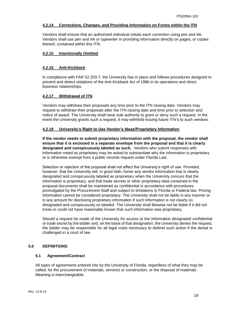## <span id="page-18-0"></span>**4.2.14 Corrections, Changes, and Providing Information on Forms within the ITN**

Vendors shall ensure that an authorized individual initials each correction using pen and ink. Vendors shall use pen and ink or typewriter in providing information directly on pages, or copies thereof, contained within this ITN.

#### <span id="page-18-1"></span>**4.2.15 Intentionally Omitted**

#### <span id="page-18-2"></span>**4.2.16 Anti-Kickback**

In compliance with FAR 52.203-7, the University has in place and follows procedures designed to prevent and detect violations of the Anti-Kickback Act of 1986 in its operations and direct business relationships.

## <span id="page-18-3"></span>**4.2.17 Withdrawal of ITN**

Vendors may withdraw their proposals any time prior to the ITN closing date. Vendors may request to withdraw their proposals after the ITN closing date and time prior to selection and notice of award. The University shall have sole authority to grant or deny such a request. In the event the University grants such a request, it may withhold issuing future ITN's to such vendors.

#### <span id="page-18-4"></span>**4.2.18 University's Right to Use Vendor's Ideas/Proprietary Information**

**If the vendor needs to submit proprietary information with the proposal, the vendor shall ensure that it is enclosed in a separate envelope from the proposal and that it is clearly designated and conspicuously labeled as such.** Vendors who submit responses with information noted as proprietary may be asked to substantiate why the information is proprietary or is otherwise exempt from a public records request under Florida Law.

Selection or rejection of the proposal shall not affect the University's right of use. Provided, however, that the University will, in good faith, honor any vendor information that is clearly designated and conspicuously labeled as proprietary when the University concurs that the information is proprietary, and that trade secrets or other proprietary data contained in the proposal documents shall be maintained as confidential in accordance with procedures promulgated by the Procurement Staff and subject to limitations in Florida or Federal law. Pricing information cannot be considered proprietary. The University shall not be liable in any manner or in any amount for disclosing proprietary information if such information is not clearly so designated and conspicuously so labeled. The University shall likewise not be liable if it did not know or could not have reasonably known that such information was proprietary.

Should a request be made of the University for access to the information designated confidential or trade secret by the bidder and, on the basis of that designation, the University denies the request, the bidder may be responsible for all legal costs necessary to defend such action if the denial is challenged in a court of law.

#### <span id="page-18-5"></span>**5.0 DEFINITIONS**

## <span id="page-18-6"></span>**5.1 Agreement/Contract**

All types of agreements entered into by the University of Florida, regardless of what they may be called, for the procurement of materials, services or construction, or the disposal of materials. Meaning is interchangeable.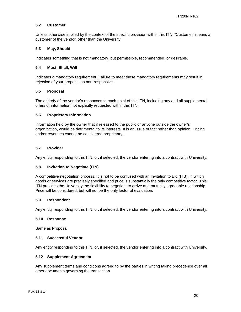#### <span id="page-19-0"></span>**5.2 Customer**

Unless otherwise implied by the context of the specific provision within this ITN, "Customer" means a customer of the vendor, other than the University.

#### <span id="page-19-1"></span>**5.3 May, Should**

Indicates something that is not mandatory, but permissible, recommended, or desirable.

#### <span id="page-19-2"></span>**5.4 Must, Shall, Will**

Indicates a mandatory requirement. Failure to meet these mandatory requirements may result in rejection of your proposal as non-responsive.

#### <span id="page-19-3"></span>**5.5 Proposal**

The entirety of the vendor's responses to each point of this ITN, including any and all supplemental offers or information not explicitly requested within this ITN.

#### <span id="page-19-4"></span>**5.6 Proprietary Information**

Information held by the owner that if released to the public or anyone outside the owner's organization, would be detrimental to its interests. It is an issue of fact rather than opinion. Pricing and/or revenues cannot be considered proprietary.

#### <span id="page-19-5"></span>**5.7 Provider**

Any entity responding to this ITN, or, if selected, the vendor entering into a contract with University.

#### <span id="page-19-6"></span>**5.8 Invitation to Negotiate (ITN)**

A competitive negotiation process. It is not to be confused with an Invitation to Bid (ITB), in which goods or services are precisely specified and price is substantially the only competitive factor. This ITN provides the University the flexibility to negotiate to arrive at a mutually agreeable relationship. Price will be considered, but will not be the only factor of evaluation.

#### <span id="page-19-7"></span>**5.9 Respondent**

Any entity responding to this ITN, or, if selected, the vendor entering into a contract with University.

#### <span id="page-19-8"></span>**5.10 Response**

Same as Proposal

#### <span id="page-19-9"></span>**5.11 Successful Vendor**

Any entity responding to this ITN, or, if selected, the vendor entering into a contract with University.

#### <span id="page-19-10"></span>**5.12 Supplement Agreement**

Any supplement terms and conditions agreed to by the parties in writing taking precedence over all other documents governing the transaction.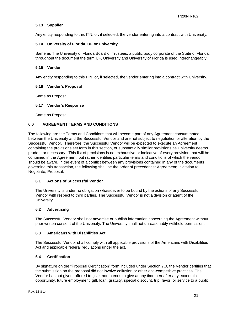## <span id="page-20-0"></span>**5.13 Supplier**

Any entity responding to this ITN, or, if selected, the vendor entering into a contract with University.

## <span id="page-20-1"></span>**5.14 University of Florida, UF or University**

Same as The University of Florida Board of Trustees, a public body corporate of the State of Florida; throughout the document the term UF, University and University of Florida is used interchangeably.

## <span id="page-20-2"></span>**5.15 Vendor**

Any entity responding to this ITN, or, if selected, the vendor entering into a contract with University.

## <span id="page-20-3"></span>**5.16 Vendor's Proposal**

Same as Proposal

#### <span id="page-20-4"></span>**5.17 Vendor's Response**

Same as Proposal

## <span id="page-20-5"></span>**6.0 AGREEMENT TERMS AND CONDITIONS**

The following are the Terms and Conditions that will become part of any Agreement consummated between the University and the Successful Vendor and are not subject to negotiation or alteration by the Successful Vendor. Therefore, the Successful Vendor will be expected to execute an Agreement containing the provisions set forth in this section, or substantially similar provisions as University deems prudent or necessary. This list of provisions is not exhaustive or indicative of every provision that will be contained in the Agreement, but rather identifies particular terms and conditions of which the vendor should be aware. In the event of a conflict between any provisions contained in any of the documents governing this transaction, the following shall be the order of precedence: Agreement; Invitation to Negotiate; Proposal.

#### <span id="page-20-6"></span>**6.1 Actions of Successful Vendor**

The University is under no obligation whatsoever to be bound by the actions of any Successful Vendor with respect to third parties. The Successful Vendor is not a division or agent of the University.

#### <span id="page-20-7"></span>**6.2 Advertising**

The Successful Vendor shall not advertise or publish information concerning the Agreement without prior written consent of the University. The University shall not unreasonably withhold permission.

#### <span id="page-20-8"></span>**6.3 Americans with Disabilities Act**

The Successful Vendor shall comply with all applicable provisions of the Americans with Disabilities Act and applicable federal regulations under the act.

#### <span id="page-20-9"></span>**6.4 Certification**

By signature on the "Proposal Certification" form included under Section 7.0, the Vendor certifies that the submission on the proposal did not involve collusion or other anti-competitive practices. The Vendor has not given, offered to give, nor intends to give at any time hereafter any economic opportunity, future employment, gift, loan, gratuity, special discount, trip, favor, or service to a public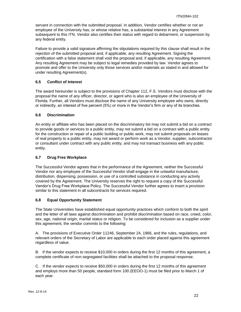servant in connection with the submitted proposal. In addition, Vendor certifies whether or not an employee of the University has, or whose relative has, a substantial interest in any Agreement subsequent to this ITN. Vendor also certifies their status with regard to debarment, or suspension by any federal entity.

Failure to provide a valid signature affirming the stipulations required by this clause shall result in the rejection of the submitted proposal and, if applicable, any resulting Agreement. Signing the certification with a false statement shall void the proposal and, if applicable, any resulting Agreement. Any resulting Agreement may be subject to legal remedies provided by law. Vendor agrees to promote and offer to the University only those services and/or materials as stated in and allowed for under resulting Agreement(s).

## <span id="page-21-0"></span>**6.5 Conflict of Interest**

The award hereunder is subject to the provisions of Chapter 112, F.S. Vendors must disclose with the proposal the name of any officer, director, or agent who is also an employee of the University of Florida. Further, all Vendors must disclose the name of any University employee who owns, directly or indirectly, an interest of five percent (5%) or more in the Vendor's firm or any of its branches.

## <span id="page-21-1"></span>**6.6 Discrimination**

An entity or affiliate who has been placed on the discriminatory list may not submit a bid on a contract to provide goods or services to a public entity, may not submit a bid on a contract with a public entity for the construction or repair of a public building or public work, may not submit proposals on leases of real property to a public entity, may not award or perform work as a Vendor, supplier, subcontractor or consultant under contract with any public entity, and may not transact business with any public entity.

## <span id="page-21-2"></span>**6.7 Drug Free Workplace**

The Successful Vendor agrees that in the performance of the Agreement, neither the Successful Vendor nor any employee of the Successful Vendor shall engage in the unlawful manufacture, distribution, dispensing, possession, or use of a controlled substance in conducting any activity covered by the Agreement. The University reserves the right to request a copy of the Successful Vendor's Drug Free Workplace Policy. The Successful Vendor further agrees to insert a provision similar to this statement in all subcontracts for services required.

## <span id="page-21-3"></span>**6.8 Equal Opportunity Statement**

The State Universities have established equal opportunity practices which conform to both the spirit and the letter of all laws against discrimination and prohibit discrimination based on race, creed, color, sex, age, national origin, marital status or religion. To be considered for inclusion as a supplier under this agreement, the vendor commits to the following:

A. The provisions of Executive Order 11246, September 24, 1966, and the rules, regulations, and relevant orders of the Secretary of Labor are applicable to each order placed against this agreement regardless of value.

B. If the vendor expects to receive \$10,000 in orders during the first 12 months of this agreement, a complete certificate of non-segregated facilities shall be attached to the proposal response.

C. If the vendor expects to receive \$50,000 in orders during the first 12 months of this agreement and employs more than 50 people, standard form 100 (EEOO-1) must be filed prior to March 1 of each year.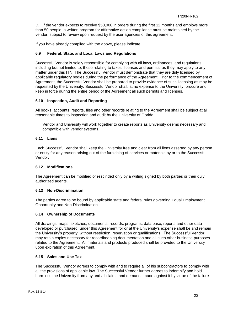D. If the vendor expects to receive \$50,000 in orders during the first 12 months and employs more than 50 people, a written program for affirmative action compliance must be maintained by the vendor, subject to review upon request by the user agencies of this agreement.

If you have already complied with the above, please indicate

## <span id="page-22-0"></span>**6.9 Federal, State, and Local Laws and Regulations**

Successful Vendor is solely responsible for complying with all laws, ordinances, and regulations including but not limited to, those relating to taxes, licenses and permits, as they may apply to any matter under this ITN. The Successful Vendor must demonstrate that they are duly licensed by applicable regulatory bodies during the performance of the Agreement. Prior to the commencement of Agreement, the Successful Vendor shall be prepared to provide evidence of such licensing as may be requested by the University. Successful Vendor shall, at no expense to the University, procure and keep in force during the entire period of the Agreement all such permits and licenses.

## <span id="page-22-1"></span>**6.10 Inspection, Audit and Reporting**

All books, accounts, reports, files and other records relating to the Agreement shall be subject at all reasonable times to inspection and audit by the University of Florida.

Vendor and University will work together to create reports as University deems necessary and compatible with vendor systems.

## <span id="page-22-2"></span>**6.11 Liens**

Each Successful Vendor shall keep the University free and clear from all liens asserted by any person or entity for any reason arising out of the furnishing of services or materials by or to the Successful Vendor.

## <span id="page-22-3"></span>**6.12 Modifications**

The Agreement can be modified or rescinded only by a writing signed by both parties or their duly authorized agents.

#### <span id="page-22-4"></span>**6.13 Non-Discrimination**

The parties agree to be bound by applicable state and federal rules governing Equal Employment Opportunity and Non-Discrimination.

#### <span id="page-22-5"></span>**6.14 Ownership of Documents**

All drawings, maps, sketches, documents, records, programs, data base, reports and other data developed or purchased, under this Agreement for or at the University's expense shall be and remain the University's property, without restriction, reservation or qualifications. The Successful Vendor may retain copies necessary for recordkeeping documentation and all such other business purposes related to the Agreement. All materials and products produced shall be provided to the University upon expiration of this Agreement.

#### <span id="page-22-6"></span>**6.15 Sales and Use Tax**

The Successful Vendor agrees to comply with and to require all of his subcontractors to comply with all the provisions of applicable law. The Successful Vendor further agrees to indemnify and hold harmless the University from any and all claims and demands made against it by virtue of the failure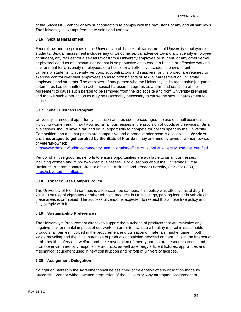of the Successful Vendor or any subcontractors to comply with the provisions of any and all said laws. The University is exempt from state sales and use tax.

## <span id="page-23-0"></span>**6.16 Sexual Harassment**

Federal law and the policies of the University prohibit sexual harassment of University employees or students. Sexual harassment includes any unwelcome sexual advance toward a University employee or student, any request for a sexual favor from a University employee or student, or any other verbal or physical conduct of a sexual nature that is so pervasive as to create a hostile or offensive working environment for University employees, or a hostile or an offensive academic environment for University students. University vendors, subcontractors and suppliers for this project are required to exercise control over their employees so as to prohibit acts of sexual harassment of University employees and students. The employer of any person who the University, in its reasonable judgment, determines has committed an act of sexual harassment agrees as a term and condition of the Agreement to cause such person to be removed from the project site and from University premises and to take such other action as may be reasonably necessary to cause the sexual harassment to cease.

## <span id="page-23-1"></span>**6.17 Small Business Program**

University is an equal opportunity institution and, as such, encourages the use of small businesses, including women and minority-owned small businesses in the provision of goods and services. Small businesses should have a fair and equal opportunity to compete for dollars spent by the University. Competition ensures that prices are competitive and a broad vendor base is available. . **Vendors are encouraged to get certified by the State of Florida** if they are minority-owned, woman-owned or veteran-owned:

[http://www.dms.myflorida.com/agency\\_administration/office\\_of\\_supplier\\_diversity\\_osd/get\\_certified](http://www.dms.myflorida.com/agency_administration/office_of_supplier_diversity_osd/get_certified)

Vendor shall use good faith efforts to ensure opportunities are available to small businesses, including women and minority-owned businesses. For questions about the University's Small Business Program contact Director of Small Business and Vendor Diversity, 352-392-0380, <https://sbvdr.admin.ufl.edu/>

## <span id="page-23-2"></span>**6.18 Tobacco Free Campus Policy**

The University of Florida campus is a tobacco-free campus. This policy was effective as of July 1, 2010. The use of cigarettes or other tobacco products in UF buildings, parking lots, or in vehicles in these areas is prohibited. The successful vendor is expected to respect this smoke free policy and fully comply with it.

## <span id="page-23-3"></span>**6.19 Sustainability Preferences**

The University's Procurement directives support the purchase of products that will minimize any negative environmental impacts of our work. In order to facilitate a healthy market in sustainable products, all parties involved in the procurement and utilization of materials must engage in both waste recycling and the initial purchase of products containing recycled content. It is in the interest of public health, safety and welfare and the conservation of energy and natural resources to use and promote environmentally responsible products, as well as energy efficient fixtures, appliances and mechanical equipment used in new construction and retrofit of University facilities.

## <span id="page-23-4"></span>**6.20 Assignment-Delegation**

No right or interest in the Agreement shall be assigned or delegation of any obligation made by Successful Vendor without written permission of the University. Any attempted assignment or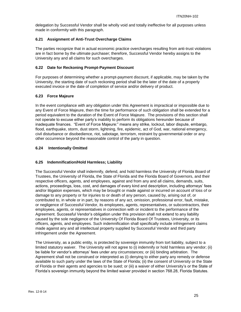delegation by Successful Vendor shall be wholly void and totally ineffective for all purposes unless made in conformity with this paragraph.

## <span id="page-24-0"></span>**6.21 Assignment of Anti-Trust Overcharge Claims**

The parties recognize that in actual economic practice overcharges resulting from anti-trust violations are in fact borne by the ultimate purchaser; therefore, Successful Vendor hereby assigns to the University any and all claims for such overcharges.

## <span id="page-24-1"></span>**6.22 Date for Reckoning Prompt-Payment Discount**

For purposes of determining whether a prompt-payment discount, if applicable, may be taken by the University, the starting date of such reckoning period shall be the later of the date of a properly executed invoice or the date of completion of service and/or delivery of product.

## <span id="page-24-2"></span>**6.23 Force Majeure**

In the event compliance with any obligation under this Agreement is impractical or impossible due to any Event of Force Majeure, then the time for performance of such obligation shall be extended for a period equivalent to the duration of the Event of Force Majeure. The provisions of this section shall not operate to excuse either party's inability to perform its obligations hereunder because of inadequate finances. "Event of Force Majeure:" means any strike, lockout, labor dispute, embargo, flood, earthquake, storm, dust storm, lightning, fire, epidemic, act of God, war, national emergency, civil disturbance or disobedience, riot, sabotage, terrorism, restraint by governmental order or any other occurrence beyond the reasonable control of the party in question.

## <span id="page-24-3"></span>**6.24 Intentionally Omitted**

## <span id="page-24-4"></span>**6.25 Indemnification/Hold Harmless; Liability**

The Successful Vendor shall indemnify, defend, and hold harmless the University of Florida Board of Trustees, the University of Florida, the State of Florida and the Florida Board of Governors, and their respective officers, agents, and employees, against and from any and all claims, demands, suits, actions, proceedings, loss, cost, and damages of every kind and description, including attorneys' fees and/or litigation expenses, which may be brought or made against or incurred on account of loss of or damage to any property or for injuries to or death of any person, caused by, arising out of, or contributed to, in whole or in part, by reasons of any act, omission, professional error, fault, mistake, or negligence of Successful Vendor, its employees, agents, representatives, or subcontractors, their employees, agents, or representatives in connection with or incident to the performance of the Agreement. Successful Vendor's obligation under this provision shall not extend to any liability caused by the sole negligence of the University Of Florida Board Of Trustees, University, or its officers, agents, and employees. Such indemnification shall specifically include infringement claims made against any and all intellectual property supplied by Successful Vendor and third party infringement under the Agreement.

The University, as a public entity, is protected by sovereign immunity from tort liability, subject to a limited statutory waiver. The University will not agree to (i) indemnify or hold harmless any vendor; (ii) be liable for vendor's attorneys' fees under any circumstances; or (iii) binding arbitration. The Agreement shall not be construed or interpreted as (i) denying to either party any remedy or defense available to such party under the laws of the State of Florida; (ii) the consent of University or the State of Florida or their agents and agencies to be sued; or (iii) a waiver of either University's or the State of Florida's sovereign immunity beyond the limited waiver provided in section 768.28, Florida Statutes.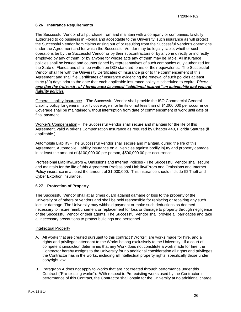#### <span id="page-25-0"></span>**6.26 Insurance Requirements**

The Successful Vendor shall purchase from and maintain with a company or companies, lawfully authorized to do business in Florida and acceptable to the University, such insurance as will protect the Successful Vendor from claims arising out of or resulting from the Successful Vendor's operations under the Agreement and for which the Successful Vendor may be legally liable, whether such operations be by the Successful Vendor or by their subcontractors or by anyone directly or indirectly employed by any of them, or by anyone for whose acts any of them may be liable. All insurance policies shall be issued and countersigned by representatives of such companies duly authorized for the State of Florida and shall be written on ISO standard forms or their equivalents. The Successful Vendor shall file with the University Certificates of Insurance prior to the commencement of this Agreement and shall file Certificates of Insurance evidencing the renewal of such policies at least thirty (30) days prior to the date that each applicable insurance policy is scheduled to expire. *Please note that the University of Florida must be named "additional insured" on automobile and general liability policies.*

General Liability Insurance – The Successful Vendor shall provide the ISO Commercial General Liability policy for general liability coverage's for limits of not less than of \$1,000,000 per occurrence. Coverage shall be maintained without interruption from date of commencement of work until date of final payment.

Worker's Compensation - The Successful Vendor shall secure and maintain for the life of this Agreement, valid Worker's Compensation Insurance as required by Chapter 440, Florida Statutes (if applicable.)

Automobile Liability - The Successful Vendor shall secure and maintain, during the life of this Agreement, Automobile Liability insurance on all vehicles against bodily injury and property damage in at least the amount of \$100,000.00 per person, \$500,000.00 per occurrence.

Professional Liability/Errors & Omissions and Internet Policies - The Successful Vendor shall secure and maintain for the life of this Agreement Professional Liability/Errors and Omissions and Internet Policy insurance in at least the amount of \$1,000,000. This insurance should include ID Theft and Cyber Extortion insurance.

## <span id="page-25-1"></span>**6.27 Protection of Property**

The Successful Vendor shall at all times guard against damage or loss to the property of the University or of others or vendors and shall be held responsible for replacing or repairing any such loss or damage. The University may withhold payment or make such deductions as deemed necessary to insure reimbursement or replacement for loss or damage to property through negligence of the Successful Vendor or their agents. The Successful Vendor shall provide all barricades and take all necessary precautions to protect buildings and personnel.

#### Intellectual Property

- A. All works that are created pursuant to this contract ("Works") are works made for hire, and all rights and privileges attendant to the Works belong exclusively to the University. If a court of competent jurisdiction determines that any Work does not constitute a work made for hire, the Contractor hereby assigns to the University for no additional consideration all rights and privileges the Contractor has in the works, including all intellectual property rights, specifically those under copyright law.
- B. Paragraph A does not apply to Works that are not created through performance under this Contract ("Pre-existing works"). With respect to Pre-existing works used by the Contractor in performance of this Contract, the Contractor shall obtain for the University at no additional charge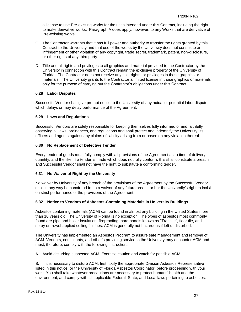a license to use Pre-existing works for the uses intended under this Contract, including the right to make derivative works. Paragraph A does apply, however, to any Works that are derivative of Pre-existing works.

- C. The Contractor warrants that it has full power and authority to transfer the rights granted by this Contract to the University and that use of the works by the University does not constitute an infringement or other violation of any copyright, trade secret, trademark, patent, non-disclosure, or other rights of any third party.
- D. Title and all rights and privileges to all graphics and material provided to the Contractor by the University in connection with this Contract remain the exclusive property of the University of Florida. The Contractor does not receive any title, rights, or privileges in those graphics or materials. The University grants to the Contractor a limited license in those graphics or materials only for the purpose of carrying out the Contractor's obligations under this Contract.

## <span id="page-26-0"></span>**6.28 Labor Disputes**

Successful Vendor shall give prompt notice to the University of any actual or potential labor dispute which delays or may delay performance of the Agreement.

## <span id="page-26-1"></span>**6.29 Laws and Regulations**

Successful Vendors are solely responsible for keeping themselves fully informed of and faithfully observing all laws, ordinances, and regulations and shall protect and indemnify the University, its officers and agents against any claims of liability arising from or based on any violation thereof.

## <span id="page-26-2"></span>**6.30 No Replacement of Defective Tender**

Every tender of goods must fully comply with all provisions of the Agreement as to time of delivery, quantity, and the like. If a tender is made which does not fully conform, this shall constitute a breach and Successful Vendor shall not have the right to substitute a conforming tender.

## <span id="page-26-3"></span>**6.31 No Waiver of Right by the University**

No waiver by University of any breach of the provisions of the Agreement by the Successful Vendor shall in any way be construed to be a waiver of any future breach or bar the University's right to insist on strict performance of the provisions of the Agreement.

## <span id="page-26-4"></span>**6.32 Notice to Vendors of Asbestos-Containing Materials in University Buildings**

Asbestos containing materials (ACM) can be found in almost any building in the United States more than 10 years old. The University of Florida is no exception. The types of asbestos most commonly found are pipe and boiler insulation, fireproofing, hard panels known as "Transite", floor tile, and spray or trowel-applied ceiling finishes. ACM is generally not hazardous if left undisturbed.

The University has implemented an Asbestos Program to assure safe management and removal of ACM. Vendors, consultants, and other's providing service to the University may encounter ACM and must, therefore, comply with the following instructions:

A. Avoid disturbing suspected ACM. Exercise caution and watch for possible ACM.

B. If it is necessary to disturb ACM, first notify the appropriate Division Asbestos Representative listed in this notice, or the University of Florida Asbestos Coordinator, before proceeding with your work. You shall take whatever precautions are necessary to protect humans' health and the environment, and comply with all applicable Federal, State, and Local laws pertaining to asbestos.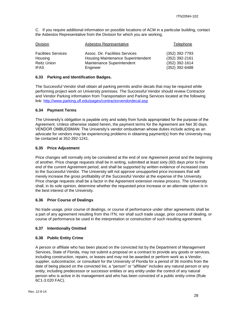C. If you require additional information on possible locations of ACM in a particular building, contact the Asbestos Representative from the Division for which you are working.

| Division                   | Asbestos Representative            | Telephone        |
|----------------------------|------------------------------------|------------------|
| <b>Facilities Services</b> | Assoc. Dir. Facilities Services    | (352) 392-7793   |
| Housing                    | Housing Maintenance Superintendent | (352) 392-2161   |
| <b>Reitz Union</b>         | Maintenance Superintendent         | $(352)$ 392-1614 |
| <b>IFAS</b>                | Engineer                           | (352) 392-6488   |

## <span id="page-27-0"></span>**6.33 Parking and Identification Badges.**

The Successful Vendor shall obtain all parking permits and/or decals that may be required while performing project work on University premises. The Successful Vendor should review Contractor and Vendor Parking information from Transportation and Parking Services located at the following link:<http://www.parking.ufl.edu/pages/contractorvendordecal.asp>

## <span id="page-27-1"></span>**6.34 Payment Terms**

The University's obligation is payable only and solely from funds appropriated for the purpose of the Agreement. Unless otherwise stated herein, the payment terms for the Agreement are Net 30 days. VENDOR OMBUDSMAN: The University's vendor ombudsman whose duties include acting as an advocate for vendors may be experiencing problems in obtaining payment(s) from the University may be contacted at 352-392-1241.

## <span id="page-27-2"></span>**6.35 Price Adjustment**

Price changes will normally only be considered at the end of one Agreement period and the beginning of another. Price change requests shall be in writing, submitted at least sixty (60) days prior to the end of the current Agreement period, and shall be supported by written evidence of increased costs to the Successful Vendor. The University will not approve unsupported price increases that will merely increase the gross profitability of the Successful Vendor at the expense of the University. Price change requests shall be a factor in the Agreement extension review process. The University shall, in its sole opinion, determine whether the requested price increase or an alternate option is in the best interest of the University.

#### <span id="page-27-3"></span>**6.36 Prior Course of Dealings**

No trade usage, prior course of dealings, or course of performance under other agreements shall be a part of any agreement resulting from this ITN; nor shall such trade usage, prior course of dealing, or course of performance be used in the interpretation or construction of such resulting agreement.

#### <span id="page-27-4"></span>**6.37 Intentionally Omitted**

#### <span id="page-27-5"></span>**6.38 Public Entity Crime**

A person or affiliate who has been placed on the convicted list by the Department of Management Services, State of Florida, may not submit a proposal on a contract to provide any goods or services, including construction, repairs, or leases and may not be awarded or perform work as a Vendor, supplier, subcontractor, or consultant for the University of Florida for a period of 36 months from the date of being placed on the convicted list, a "person" or "affiliate" includes any natural person or any entity, including predecessor or successor entities or any entity under the control of any natural person who is active in its management and who has been convicted of a public entity crime (Rule 6C1-3.020 FAC).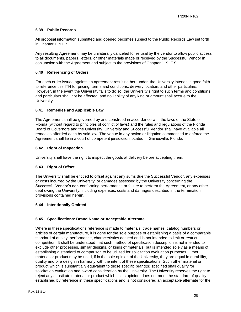## <span id="page-28-0"></span>**6.39 Public Records**

All proposal information submitted and opened becomes subject to the Public Records Law set forth in Chapter 119 F.S.

Any resulting Agreement may be unilaterally canceled for refusal by the vendor to allow public access to all documents, papers, letters, or other materials made or received by the Successful Vendor in conjunction with the Agreement and subject to the provisions of Chapter 119. F.S.

## <span id="page-28-1"></span>**6.40 Referencing of Orders**

For each order issued against an agreement resulting hereunder, the University intends in good faith to reference this ITN for pricing, terms and conditions, delivery location, and other particulars. However, in the event the University fails to do so, the University's right to such terms and conditions, and particulars shall not be affected, and no liability of any kind or amount shall accrue to the University.

## <span id="page-28-2"></span>**6.41 Remedies and Applicable Law**

The Agreement shall be governed by and construed in accordance with the laws of the State of Florida (without regard to principles of conflict of laws) and the rules and regulations of the Florida Board of Governors and the University. University and Successful Vendor shall have available all remedies afforded each by said law. The venue in any action or litigation commenced to enforce the Agreement shall lie in a court of competent jurisdiction located in Gainesville, Florida.

## <span id="page-28-3"></span>**6.42 Right of Inspection**

University shall have the right to inspect the goods at delivery before accepting them.

## <span id="page-28-4"></span>**6.43 Right of Offset**

The University shall be entitled to offset against any sums due the Successful Vendor, any expenses or costs incurred by the University, or damages assessed by the University concerning the Successful Vendor's non-conforming performance or failure to perform the Agreement, or any other debt owing the University, including expenses, costs and damages described in the termination provisions contained herein.

#### <span id="page-28-5"></span>**6.44 Intentionally Omitted**

## <span id="page-28-6"></span>**6.45 Specifications: Brand Name or Acceptable Alternate**

Where in these specifications reference is made to materials, trade names, catalog numbers or articles of certain manufacture, it is done for the sole purpose of establishing a basis of a comparable standard of quality, performance, characteristics desired and is not intended to limit or restrict competition. It shall be understood that such method of specification description is not intended to exclude other processes, similar designs, or kinds of materials, but is intended solely as a means of establishing a standard of comparison to be utilized for solicitation evaluation purposes. Other material or product may be used, if in the sole opinion of the University, they are equal in durability, quality and of a design in harmony with the intent of these specifications. Such other material or product which is substantially equivalent to those specific brand(s) specified shall qualify for solicitation evaluation and award consideration by the University. The University reserves the right to reject any substitute material or product which, in its opinion, does not meet the standard of quality established by reference in these specifications and is not considered an acceptable alternate for the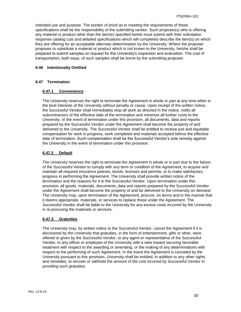intended use and purpose. The burden of proof as to meeting the requirements of these specifications shall be the responsibility of the submitting vendor. Such proposer(s) who is offering any material or product other than the item(s) specified herein must submit with their solicitation response catalog cuts and detailed specifications which will completely describe the item(s) on which they are offering for an acceptable alternate determination by the University. Where the proposer proposes to substitute a material or product which is not known to the University, he/she shall be prepared to submit samples on request for the University's inspection and evaluation. The cost of transportation, both ways, of such samples shall be borne by the submitting proposer.

#### <span id="page-29-0"></span>**6.46 Intentionally Omitted**

## <span id="page-29-2"></span><span id="page-29-1"></span>**6.47 Termination**

#### **6.47.1 Convenience**

The University reserves the right to terminate the Agreement in whole or part at any time when in the best interests of the University without penalty or cause. Upon receipt of the written notice, the Successful Vendor shall immediately stop all work as directed in the notice, notify all subcontractors of the effective date of the termination and minimize all further costs to the University. In the event of termination under this provision, all documents, data and reports prepared by the Successful Vendor under the Agreement shall become the property of and delivered to the University. The Successful Vendor shall be entitled to receive just and equitable compensation for work in progress, work completed and materials accepted before the effective date of termination. Such compensation shall be the Successful Vendor's sole remedy against the University in the event of termination under this provision.

## <span id="page-29-3"></span>**6.47.2 Default**

The University reserves the right to terminate the Agreement in whole or in part due to the failure of the Successful Vendor to comply with any term or condition of the Agreement, to acquire and maintain all required insurance policies, bonds, licenses and permits, or to make satisfactory progress in performing the Agreement. The University shall provide written notice of the termination and the reasons for it to the Successful Vendor. Upon termination under this provision, all goods, materials, documents, data and reports prepared by the Successful Vendor under the Agreement shall become the property of and be delivered to the University on demand. The University may, upon termination of the Agreement, procure, on terms and in the manner that it deems appropriate, materials, or services to replace those under the Agreement. The Successful Vendor shall be liable to the University for any excess costs incurred by the University in re-procuring the materials or services.

## <span id="page-29-4"></span>**6.47.3 Gratuities**

The University may, by written notice to the Successful Vendor, cancel the Agreement if it is discovered by the University that gratuities, in the form of entertainment, gifts or other, were offered or given by the Successful Vendor, or any agent or representative of the Successful Vendor, to any officer or employee of the University with a view toward securing favorable treatment with respect to the awarding or amending, or the making of any determinations with respect to the performing of such Agreement. In the event the Agreement is canceled by the University pursuant to this provision, University shall be entitled, in addition to any other rights and remedies, to recover or withhold the amount of the cost incurred by Successful Vendor in providing such gratuities.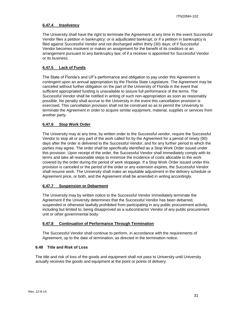## <span id="page-30-0"></span>**6.47.4 Insolvency**

The University shall have the right to terminate the Agreement at any time in the event Successful Vendor files a petition in bankruptcy; or is adjudicated bankrupt; or if a petition in bankruptcy is filed against Successful Vendor and not discharged within thirty (30) days; of if Successful Vendor becomes insolvent or makes an assignment for the benefit of its creditors or an arrangement pursuant to any bankruptcy law; of if a receiver is appointed for Successful Vendor or its business.

## <span id="page-30-1"></span>**6.47.5 Lack of Funds**

The State of Florida's and UF's performance and obligation to pay under this Agreement is contingent upon an annual appropriation by the Florida State Legislature. The Agreement may be canceled without further obligation on the part of the University of Florida in the event that sufficient appropriated funding is unavailable to assure full performance of the terms. The Successful Vendor shall be notified in writing of such non-appropriation as soon as reasonably possible. No penalty shall accrue to the University in the event this cancellation provision is exercised. This cancellation provision shall not be construed so as to permit the University to terminate the Agreement in order to acquire similar equipment, material, supplies or services from another party.

## <span id="page-30-2"></span>**6.47.6 Stop Work Order**

The University may at any time, by written order to the Successful vendor, require the Successful Vendor to stop all or any part of the work called for by the Agreement for a period of ninety (90) days after the order is delivered to the Successful Vendor, and for any further period to which the parties may agree. The order shall be specifically identified as a Stop Work Order issued under this provision. Upon receipt of the order, the Successful Vendor shall immediately comply with its terms and take all reasonable steps to minimize the incidence of costs allocable to the work covered by the order during the period of work stoppage. If a Stop Work Order issued under this provision is canceled or the period of the order or any extension expires, the Successful Vendor shall resume work. The University shall make an equitable adjustment in the delivery schedule or Agreement price, or both, and the Agreement shall be amended in writing accordingly.

#### <span id="page-30-3"></span>**6.47.7 Suspension or Debarment**

The University may by written notice to the Successful Vendor immediately terminate the Agreement if the University determines that the Successful Vendor has been debarred, suspended or otherwise lawfully prohibited from participating in any public procurement activity, including but limited to, being disapproved as a subcontractor Vendor of any public procurement unit or other governmental body.

#### <span id="page-30-4"></span>**6.47.8 Continuation of Performance Through Termination**

The Successful Vendor shall continue to perform, in accordance with the requirements of Agreement, up to the date of termination, as directed in the termination notice.

#### <span id="page-30-5"></span>**6.48 Title and Risk of Loss**

The title and risk of loss of the goods and equipment shall not pass to University until University actually receives the goods and equipment at the point or points of delivery.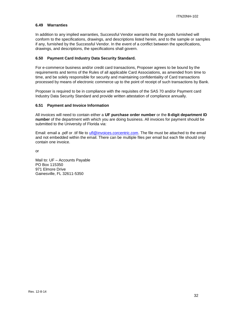#### <span id="page-31-0"></span>**6.49 Warranties**

In addition to any implied warranties, Successful Vendor warrants that the goods furnished will conform to the specifications, drawings, and descriptions listed herein, and to the sample or samples if any, furnished by the Successful Vendor. In the event of a conflict between the specifications, drawings, and descriptions, the specifications shall govern.

#### <span id="page-31-1"></span>**6.50 Payment Card Industry Data Security Standard.**

For e-commerce business and/or credit card transactions, Proposer agrees to be bound by the requirements and terms of the Rules of all applicable Card Associations, as amended from time to time, and be solely responsible for security and maintaining confidentiality of Card transactions processed by means of electronic commerce up to the point of receipt of such transactions by Bank.

Proposer is required to be in compliance with the requisites of the SAS 70 and/or Payment card Industry Data Security Standard and provide written attestation of compliance annually.

#### <span id="page-31-2"></span>**6.51 Payment and Invoice Information**

All invoices will need to contain either a **UF purchase order number** or the **8-digit department ID number** of the department with which you are doing business. All invoices for payment should be submitted to the University of Florida via:

Email: email a .pdf or .tif file to [ufl@invoices.corcentric.com.](mailto:ufl@invoices.corcentric.com) The file must be attached to the email and not embedded within the email. There can be multiple files per email but each file should only contain one invoice.

or

Mail to: UF – Accounts Payable PO Box 115350 971 Elmore Drive Gainesville, FL 32611-5350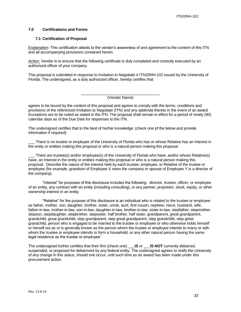#### <span id="page-32-0"></span>**7.0 Certifications and Forms**

#### <span id="page-32-1"></span>**7.1 Certification of Proposal**

Explanation: This certification attests to the vendor's awareness of and agreement to the content of this ITN and all accompanying provisions contained herein.

Action: Vendor is to ensure that the following certificate is duly completed and correctly executed by an authorized officer of your company.

This proposal is submitted in response to Invitation to Negotiate # ITN20NH-102 issued by the University of Florida. The undersigned, as a duly authorized officer, hereby certifies that

> \_\_\_\_\_\_\_\_\_\_\_\_\_\_\_\_\_\_\_\_\_\_\_\_\_\_\_\_\_\_\_\_\_\_\_\_\_ (Vendor Name)

agrees to be bound by the content of this proposal and agrees to comply with the terms, conditions and provisions of the referenced Invitation to Negotiate (ITN) and any addenda thereto in the event of an award. Exceptions are to be noted as stated in the ITN. The proposal shall remain in effect for a period of ninety (90) calendar days as of the Due Date for responses to the ITN.

The undersigned certifies that to the best of his/her knowledge: (check one pf the below and provide information if required)

There is no trustee or employee of the University of Florida who has or whose Relative has an Interest in the entity or entities making this proposal or who is a natural person making this proposal.

\_\_\_ There are trustee(s) and/or employee(s) of the University of Florida who have, and/or whose Relative(s) have, an Interest in the entity or entities making this proposal or who is a natural person making this proposal. Describe the nature of the interest held by each trustee, employee, or Relative of the trustee or employee (for example, grandson of Employee X owns the company or spouse of Employee Y is a director of the company).

"Interest" for purposes of this disclosure includes the following: director, trustee, officer, or employee of an entity, any contract with an entity (including consulting), or any partner, proprietor, stock, equity, or other ownership interest in an entity.

"Relative" for the purpose of this disclosure is an individual who is related to the trustee or employee as father, mother, son, daughter, brother, sister, uncle, aunt, first cousin, nephew, niece, husband, wife, father-in-law, mother-in-law, son-in-law, daughter-in-law, brother-in-law, sister-in-law, stepfather, stepmother, stepson, stepdaughter, stepbrother, stepsister, half brother, half sister, grandparent, great grandparent, grandchild, great grandchild, step grandparent, step great grandparent, step grandchild, step great grandchild, person who is engaged to be married to the trustee or employee or who otherwise holds himself or herself out as or is generally known as the person whom the trustee or employee intends to marry or with whom the trustee or employee intends to form a household, or any other natural person having the same legal residence as the trustee or employee"

The undersigned further certifies that their firm (check one) \_\_\_**IS** *or* \_\_\_**IS NOT** currently debarred, suspended, or proposed for debarment by any federal entity. The undersigned agrees to notify the University of any change in this status, should one occur, until such time as an award has been made under this procurement action.